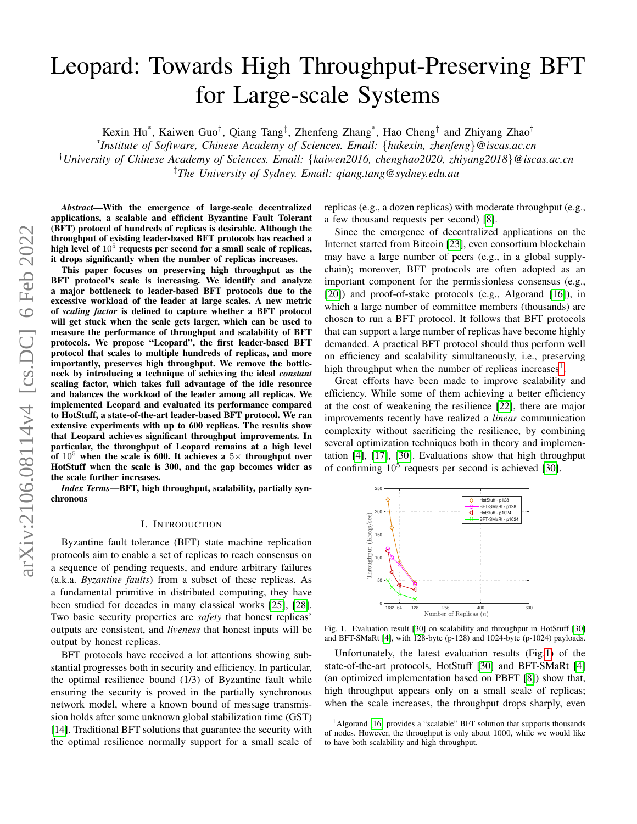# Leopard: Towards High Throughput-Preserving BFT for Large-scale Systems

Kexin Hu<sup>\*</sup>, Kaiwen Guo<sup>†</sup>, Qiang Tang<sup>‡</sup>, Zhenfeng Zhang<sup>\*</sup>, Hao Cheng<sup>†</sup> and Zhiyang Zhao<sup>†</sup> *\* Institute of Software, Chinese Academy of Sciences. Email:* {*hukexin, zhenfeng*}*@iscas.ac.cn* †*University of Chinese Academy of Sciences. Email:* {*kaiwen2016, chenghao2020, zhiyang2018*}*@iscas.ac.cn* ‡*The University of Sydney. Email: qiang.tang@sydney.edu.au*

*Abstract*—With the emergence of large-scale decentralized applications, a scalable and efficient Byzantine Fault Tolerant (BFT) protocol of hundreds of replicas is desirable. Although the throughput of existing leader-based BFT protocols has reached a high level of  $10^5$  requests per second for a small scale of replicas, it drops significantly when the number of replicas increases.

This paper focuses on preserving high throughput as the BFT protocol's scale is increasing. We identify and analyze a major bottleneck to leader-based BFT protocols due to the excessive workload of the leader at large scales. A new metric of *scaling factor* is defined to capture whether a BFT protocol will get stuck when the scale gets larger, which can be used to measure the performance of throughput and scalability of BFT protocols. We propose "Leopard", the first leader-based BFT protocol that scales to multiple hundreds of replicas, and more importantly, preserves high throughput. We remove the bottleneck by introducing a technique of achieving the ideal *constant* scaling factor, which takes full advantage of the idle resource and balances the workload of the leader among all replicas. We implemented Leopard and evaluated its performance compared to HotStuff, a state-of-the-art leader-based BFT protocol. We ran extensive experiments with up to 600 replicas. The results show that Leopard achieves significant throughput improvements. In particular, the throughput of Leopard remains at a high level of  $10^5$  when the scale is 600. It achieves a  $5\times$  throughput over HotStuff when the scale is 300, and the gap becomes wider as the scale further increases.

*Index Terms*—BFT, high throughput, scalability, partially synchronous

#### I. INTRODUCTION

Byzantine fault tolerance (BFT) state machine replication protocols aim to enable a set of replicas to reach consensus on a sequence of pending requests, and endure arbitrary failures (a.k.a. *Byzantine faults*) from a subset of these replicas. As a fundamental primitive in distributed computing, they have been studied for decades in many classical works [\[25\]](#page-13-0), [\[28\]](#page-13-1). Two basic security properties are *safety* that honest replicas' outputs are consistent, and *liveness* that honest inputs will be output by honest replicas.

BFT protocols have received a lot attentions showing substantial progresses both in security and efficiency. In particular, the optimal resilience bound (1/3) of Byzantine fault while ensuring the security is proved in the partially synchronous network model, where a known bound of message transmission holds after some unknown global stabilization time (GST) [\[14\]](#page-12-0). Traditional BFT solutions that guarantee the security with the optimal resilience normally support for a small scale of replicas (e.g., a dozen replicas) with moderate throughput (e.g., a few thousand requests per second) [\[8\]](#page-12-1).

Since the emergence of decentralized applications on the Internet started from Bitcoin [\[23\]](#page-13-2), even consortium blockchain may have a large number of peers (e.g., in a global supplychain); moreover, BFT protocols are often adopted as an important component for the permissionless consensus (e.g., [\[20\]](#page-13-3)) and proof-of-stake protocols (e.g., Algorand [\[16\]](#page-12-2)), in which a large number of committee members (thousands) are chosen to run a BFT protocol. It follows that BFT protocols that can support a large number of replicas have become highly demanded. A practical BFT protocol should thus perform well on efficiency and scalability simultaneously, i.e., preserving high throughput when the number of replicas increases<sup>[1](#page-0-0)</sup>.

Great efforts have been made to improve scalability and efficiency. While some of them achieving a better efficiency at the cost of weakening the resilience [\[22\]](#page-13-4), there are major improvements recently have realized a *linear* communication complexity without sacrificing the resilience, by combining several optimization techniques both in theory and implementation [\[4\]](#page-12-3), [\[17\]](#page-12-4), [\[30\]](#page-13-5). Evaluations show that high throughput of confirming  $10^5$  requests per second is achieved [\[30\]](#page-13-5).



<span id="page-0-1"></span>Fig. 1. Evaluation result [\[30\]](#page-13-5) on scalability and throughput in HotStuff [\[30\]](#page-13-5) and BFT-SMaRt [\[4\]](#page-12-3), with 128-byte (p-128) and 1024-byte (p-1024) payloads.

Unfortunately, the latest evaluation results (Fig[.1\)](#page-0-1) of the state-of-the-art protocols, HotStuff [\[30\]](#page-13-5) and BFT-SMaRt [\[4\]](#page-12-3) (an optimized implementation based on PBFT [\[8\]](#page-12-1)) show that, high throughput appears only on a small scale of replicas; when the scale increases, the throughput drops sharply, even

<span id="page-0-0"></span><sup>&</sup>lt;sup>1</sup>Algorand [\[16\]](#page-12-2) provides a "scalable" BFT solution that supports thousands of nodes. However, the throughput is only about 1000, while we would like to have both scalability and high throughput.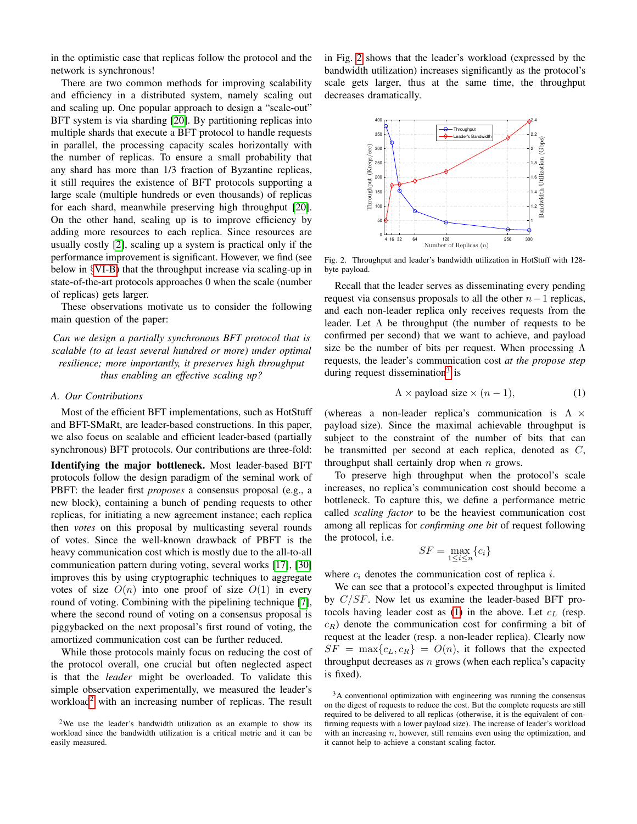in the optimistic case that replicas follow the protocol and the network is synchronous!

There are two common methods for improving scalability and efficiency in a distributed system, namely scaling out and scaling up. One popular approach to design a "scale-out" BFT system is via sharding [\[20\]](#page-13-3). By partitioning replicas into multiple shards that execute a BFT protocol to handle requests in parallel, the processing capacity scales horizontally with the number of replicas. To ensure a small probability that any shard has more than 1/3 fraction of Byzantine replicas, it still requires the existence of BFT protocols supporting a large scale (multiple hundreds or even thousands) of replicas for each shard, meanwhile preserving high throughput [\[20\]](#page-13-3). On the other hand, scaling up is to improve efficiency by adding more resources to each replica. Since resources are usually costly [\[2\]](#page-12-5), scaling up a system is practical only if the performance improvement is significant. However, we find (see below in §[VI-B\)](#page-10-0) that the throughput increase via scaling-up in state-of-the-art protocols approaches 0 when the scale (number of replicas) gets larger.

These observations motivate us to consider the following main question of the paper:

*Can we design a partially synchronous BFT protocol that is scalable (to at least several hundred or more) under optimal resilience; more importantly, it preserves high throughput thus enabling an effective scaling up?*

# *A. Our Contributions*

Most of the efficient BFT implementations, such as HotStuff and BFT-SMaRt, are leader-based constructions. In this paper, we also focus on scalable and efficient leader-based (partially synchronous) BFT protocols. Our contributions are three-fold:

Identifying the major bottleneck. Most leader-based BFT protocols follow the design paradigm of the seminal work of PBFT: the leader first *proposes* a consensus proposal (e.g., a new block), containing a bunch of pending requests to other replicas, for initiating a new agreement instance; each replica then *votes* on this proposal by multicasting several rounds of votes. Since the well-known drawback of PBFT is the heavy communication cost which is mostly due to the all-to-all communication pattern during voting, several works [\[17\]](#page-12-4), [\[30\]](#page-13-5) improves this by using cryptographic techniques to aggregate votes of size  $O(n)$  into one proof of size  $O(1)$  in every round of voting. Combining with the pipelining technique [\[7\]](#page-12-6), where the second round of voting on a consensus proposal is piggybacked on the next proposal's first round of voting, the amortized communication cost can be further reduced.

While those protocols mainly focus on reducing the cost of the protocol overall, one crucial but often neglected aspect is that the *leader* might be overloaded. To validate this simple observation experimentally, we measured the leader's workload<sup>[2](#page-1-0)</sup> with an increasing number of replicas. The result in Fig. [2](#page-1-1) shows that the leader's workload (expressed by the bandwidth utilization) increases significantly as the protocol's scale gets larger, thus at the same time, the throughput decreases dramatically.



<span id="page-1-1"></span>Fig. 2. Throughput and leader's bandwidth utilization in HotStuff with 128 byte payload.

Recall that the leader serves as disseminating every pending request via consensus proposals to all the other  $n-1$  replicas, and each non-leader replica only receives requests from the leader. Let  $\Lambda$  be throughput (the number of requests to be confirmed per second) that we want to achieve, and payload size be the number of bits per request. When processing  $\Lambda$ requests, the leader's communication cost *at the propose step* during request dissemination<sup>[3](#page-1-2)</sup> is

<span id="page-1-3"></span>
$$
\Lambda \times \text{payload size} \times (n-1), \tag{1}
$$

(whereas a non-leader replica's communication is  $\Lambda \times$ payload size). Since the maximal achievable throughput is subject to the constraint of the number of bits that can be transmitted per second at each replica, denoted as C, throughput shall certainly drop when  $n$  grows.

To preserve high throughput when the protocol's scale increases, no replica's communication cost should become a bottleneck. To capture this, we define a performance metric called *scaling factor* to be the heaviest communication cost among all replicas for *confirming one bit* of request following the protocol, i.e.

$$
SF = \max_{1 \le i \le n} \{c_i\}
$$

where  $c_i$  denotes the communication cost of replica i.

We can see that a protocol's expected throughput is limited by  $C/SF$ . Now let us examine the leader-based BFT pro-tocols having leader cost as [\(1\)](#page-1-3) in the above. Let  $c<sub>L</sub>$  (resp.  $c_R$ ) denote the communication cost for confirming a bit of request at the leader (resp. a non-leader replica). Clearly now  $SF = \max\{c_L, c_R\} = O(n)$ , it follows that the expected throughput decreases as  $n$  grows (when each replica's capacity is fixed).

<span id="page-1-0"></span><sup>&</sup>lt;sup>2</sup>We use the leader's bandwidth utilization as an example to show its workload since the bandwidth utilization is a critical metric and it can be easily measured.

<span id="page-1-2"></span><sup>&</sup>lt;sup>3</sup>A conventional optimization with engineering was running the consensus on the digest of requests to reduce the cost. But the complete requests are still required to be delivered to all replicas (otherwise, it is the equivalent of confirming requests with a lower payload size). The increase of leader's workload with an increasing  $n$ , however, still remains even using the optimization, and it cannot help to achieve a constant scaling factor.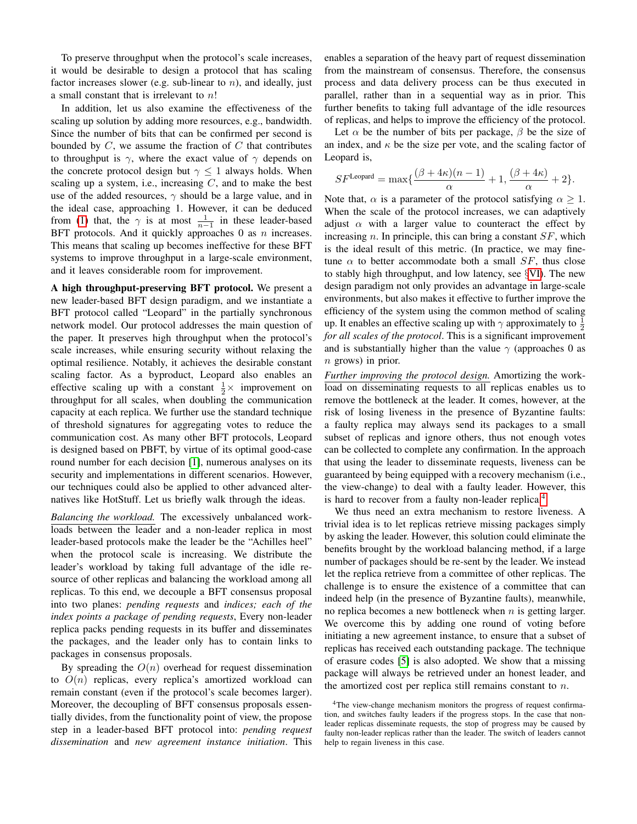To preserve throughput when the protocol's scale increases, it would be desirable to design a protocol that has scaling factor increases slower (e.g. sub-linear to  $n$ ), and ideally, just a small constant that is irrelevant to n!

In addition, let us also examine the effectiveness of the scaling up solution by adding more resources, e.g., bandwidth. Since the number of bits that can be confirmed per second is bounded by  $C$ , we assume the fraction of  $C$  that contributes to throughput is  $\gamma$ , where the exact value of  $\gamma$  depends on the concrete protocol design but  $\gamma \leq 1$  always holds. When scaling up a system, i.e., increasing  $C$ , and to make the best use of the added resources,  $\gamma$  should be a large value, and in the ideal case, approaching 1. However, it can be deduced from [\(1\)](#page-1-3) that, the  $\gamma$  is at most  $\frac{1}{n-1}$  in these leader-based BFT protocols. And it quickly approaches  $0$  as  $n$  increases. This means that scaling up becomes ineffective for these BFT systems to improve throughput in a large-scale environment, and it leaves considerable room for improvement.

A high throughput-preserving BFT protocol. We present a new leader-based BFT design paradigm, and we instantiate a BFT protocol called "Leopard" in the partially synchronous network model. Our protocol addresses the main question of the paper. It preserves high throughput when the protocol's scale increases, while ensuring security without relaxing the optimal resilience. Notably, it achieves the desirable constant scaling factor. As a byproduct, Leopard also enables an effective scaling up with a constant  $\frac{1}{2} \times$  improvement on throughput for all scales, when doubling the communication capacity at each replica. We further use the standard technique of threshold signatures for aggregating votes to reduce the communication cost. As many other BFT protocols, Leopard is designed based on PBFT, by virtue of its optimal good-case round number for each decision [\[1\]](#page-12-7), numerous analyses on its security and implementations in different scenarios. However, our techniques could also be applied to other advanced alternatives like HotStuff. Let us briefly walk through the ideas.

*Balancing the workload.* The excessively unbalanced workloads between the leader and a non-leader replica in most leader-based protocols make the leader be the "Achilles heel" when the protocol scale is increasing. We distribute the leader's workload by taking full advantage of the idle resource of other replicas and balancing the workload among all replicas. To this end, we decouple a BFT consensus proposal into two planes: *pending requests* and *indices; each of the index points a package of pending requests*, Every non-leader replica packs pending requests in its buffer and disseminates the packages, and the leader only has to contain links to packages in consensus proposals.

By spreading the  $O(n)$  overhead for request dissemination to  $O(n)$  replicas, every replica's amortized workload can remain constant (even if the protocol's scale becomes larger). Moreover, the decoupling of BFT consensus proposals essentially divides, from the functionality point of view, the propose step in a leader-based BFT protocol into: *pending request dissemination* and *new agreement instance initiation*. This enables a separation of the heavy part of request dissemination from the mainstream of consensus. Therefore, the consensus process and data delivery process can be thus executed in parallel, rather than in a sequential way as in prior. This further benefits to taking full advantage of the idle resources of replicas, and helps to improve the efficiency of the protocol.

Let  $\alpha$  be the number of bits per package,  $\beta$  be the size of an index, and  $\kappa$  be the size per vote, and the scaling factor of Leopard is,

$$
SF^{\text{Leopard}} = \max \{ \frac{(\beta + 4\kappa)(n-1)}{\alpha} + 1, \frac{(\beta + 4\kappa)}{\alpha} + 2 \}.
$$

Note that,  $\alpha$  is a parameter of the protocol satisfying  $\alpha \geq 1$ . When the scale of the protocol increases, we can adaptively adjust  $\alpha$  with a larger value to counteract the effect by increasing n. In principle, this can bring a constant  $SF$ , which is the ideal result of this metric. (In practice, we may finetune  $\alpha$  to better accommodate both a small SF, thus close to stably high throughput, and low latency, see §[VI\)](#page-9-0). The new design paradigm not only provides an advantage in large-scale environments, but also makes it effective to further improve the efficiency of the system using the common method of scaling up. It enables an effective scaling up with  $\gamma$  approximately to  $\frac{1}{2}$ *for all scales of the protocol*. This is a significant improvement and is substantially higher than the value  $\gamma$  (approaches 0 as n grows) in prior.

*Further improving the protocol design.* Amortizing the workload on disseminating requests to all replicas enables us to remove the bottleneck at the leader. It comes, however, at the risk of losing liveness in the presence of Byzantine faults: a faulty replica may always send its packages to a small subset of replicas and ignore others, thus not enough votes can be collected to complete any confirmation. In the approach that using the leader to disseminate requests, liveness can be guaranteed by being equipped with a recovery mechanism (i.e., the view-change) to deal with a faulty leader. However, this is hard to recover from a faulty non-leader replica.<sup>[4](#page-2-0)</sup>

We thus need an extra mechanism to restore liveness. A trivial idea is to let replicas retrieve missing packages simply by asking the leader. However, this solution could eliminate the benefits brought by the workload balancing method, if a large number of packages should be re-sent by the leader. We instead let the replica retrieve from a committee of other replicas. The challenge is to ensure the existence of a committee that can indeed help (in the presence of Byzantine faults), meanwhile, no replica becomes a new bottleneck when  $n$  is getting larger. We overcome this by adding one round of voting before initiating a new agreement instance, to ensure that a subset of replicas has received each outstanding package. The technique of erasure codes [\[5\]](#page-12-8) is also adopted. We show that a missing package will always be retrieved under an honest leader, and the amortized cost per replica still remains constant to  $n$ .

<span id="page-2-0"></span><sup>&</sup>lt;sup>4</sup>The view-change mechanism monitors the progress of request confirmation, and switches faulty leaders if the progress stops. In the case that nonleader replicas disseminate requests, the stop of progress may be caused by faulty non-leader replicas rather than the leader. The switch of leaders cannot help to regain liveness in this case.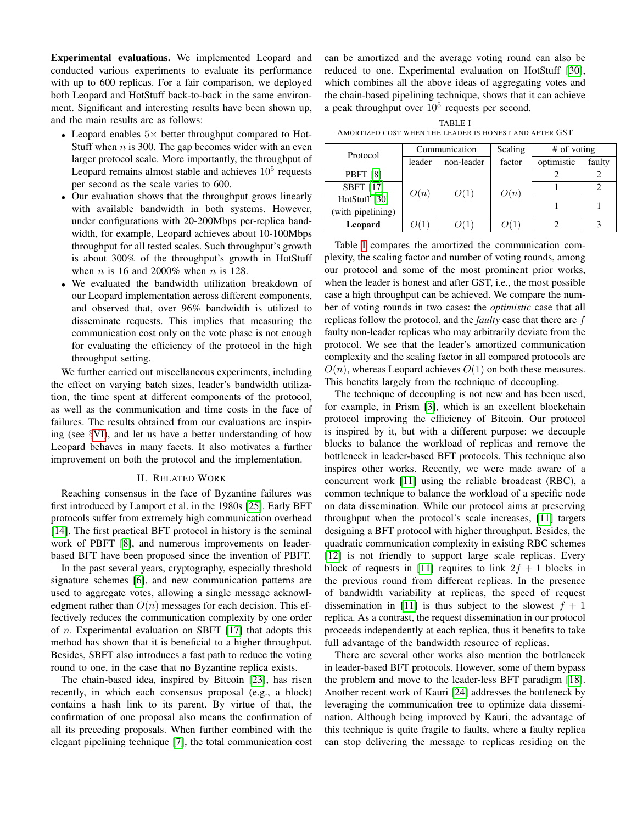Experimental evaluations. We implemented Leopard and conducted various experiments to evaluate its performance with up to 600 replicas. For a fair comparison, we deployed both Leopard and HotStuff back-to-back in the same environment. Significant and interesting results have been shown up, and the main results are as follows:

- Leopard enables  $5\times$  better throughput compared to Hot-Stuff when  $n$  is 300. The gap becomes wider with an even larger protocol scale. More importantly, the throughput of Leopard remains almost stable and achieves  $10<sup>5</sup>$  requests per second as the scale varies to 600.
- Our evaluation shows that the throughput grows linearly with available bandwidth in both systems. However, under configurations with 20-200Mbps per-replica bandwidth, for example, Leopard achieves about 10-100Mbps throughput for all tested scales. Such throughput's growth is about 300% of the throughput's growth in HotStuff when *n* is 16 and 2000% when *n* is 128.
- We evaluated the bandwidth utilization breakdown of our Leopard implementation across different components, and observed that, over 96% bandwidth is utilized to disseminate requests. This implies that measuring the communication cost only on the vote phase is not enough for evaluating the efficiency of the protocol in the high throughput setting.

We further carried out miscellaneous experiments, including the effect on varying batch sizes, leader's bandwidth utilization, the time spent at different components of the protocol, as well as the communication and time costs in the face of failures. The results obtained from our evaluations are inspiring (see §[VI\)](#page-9-0), and let us have a better understanding of how Leopard behaves in many facets. It also motivates a further improvement on both the protocol and the implementation.

## II. RELATED WORK

<span id="page-3-1"></span>Reaching consensus in the face of Byzantine failures was first introduced by Lamport et al. in the 1980s [\[25\]](#page-13-0). Early BFT protocols suffer from extremely high communication overhead [\[14\]](#page-12-0). The first practical BFT protocol in history is the seminal work of PBFT [\[8\]](#page-12-1), and numerous improvements on leaderbased BFT have been proposed since the invention of PBFT.

In the past several years, cryptography, especially threshold signature schemes [\[6\]](#page-12-9), and new communication patterns are used to aggregate votes, allowing a single message acknowledgment rather than  $O(n)$  messages for each decision. This effectively reduces the communication complexity by one order of n. Experimental evaluation on SBFT [\[17\]](#page-12-4) that adopts this method has shown that it is beneficial to a higher throughput. Besides, SBFT also introduces a fast path to reduce the voting round to one, in the case that no Byzantine replica exists.

The chain-based idea, inspired by Bitcoin [\[23\]](#page-13-2), has risen recently, in which each consensus proposal (e.g., a block) contains a hash link to its parent. By virtue of that, the confirmation of one proposal also means the confirmation of all its preceding proposals. When further combined with the elegant pipelining technique [\[7\]](#page-12-6), the total communication cost can be amortized and the average voting round can also be reduced to one. Experimental evaluation on HotStuff [\[30\]](#page-13-5), which combines all the above ideas of aggregating votes and the chain-based pipelining technique, shows that it can achieve a peak throughput over  $10^5$  requests per second.

TABLE I AMORTIZED COST WHEN THE LEADER IS HONEST AND AFTER GST

<span id="page-3-0"></span>

| Protocol          | Communication |            | Scaling |            | # of voting |  |
|-------------------|---------------|------------|---------|------------|-------------|--|
|                   | leader        | non-leader | factor  | optimistic | faulty      |  |
| <b>PBFT</b> [8]   | O(n)          | O(1)       | O(n)    |            |             |  |
| <b>SBFT</b> [17]  |               |            |         |            |             |  |
| HotStuff [30]     |               |            |         |            |             |  |
| (with pipelining) |               |            |         |            |             |  |
| Leopard           |               |            |         |            |             |  |

Table [I](#page-3-0) compares the amortized the communication complexity, the scaling factor and number of voting rounds, among our protocol and some of the most prominent prior works, when the leader is honest and after GST, i.e., the most possible case a high throughput can be achieved. We compare the number of voting rounds in two cases: the *optimistic* case that all replicas follow the protocol, and the *faulty* case that there are f faulty non-leader replicas who may arbitrarily deviate from the protocol. We see that the leader's amortized communication complexity and the scaling factor in all compared protocols are  $O(n)$ , whereas Leopard achieves  $O(1)$  on both these measures. This benefits largely from the technique of decoupling.

The technique of decoupling is not new and has been used, for example, in Prism [\[3\]](#page-12-10), which is an excellent blockchain protocol improving the efficiency of Bitcoin. Our protocol is inspired by it, but with a different purpose: we decouple blocks to balance the workload of replicas and remove the bottleneck in leader-based BFT protocols. This technique also inspires other works. Recently, we were made aware of a concurrent work [\[11\]](#page-12-11) using the reliable broadcast (RBC), a common technique to balance the workload of a specific node on data dissemination. While our protocol aims at preserving throughput when the protocol's scale increases, [\[11\]](#page-12-11) targets designing a BFT protocol with higher throughput. Besides, the quadratic communication complexity in existing RBC schemes [\[12\]](#page-12-12) is not friendly to support large scale replicas. Every block of requests in [\[11\]](#page-12-11) requires to link  $2f + 1$  blocks in the previous round from different replicas. In the presence of bandwidth variability at replicas, the speed of request dissemination in [\[11\]](#page-12-11) is thus subject to the slowest  $f + 1$ replica. As a contrast, the request dissemination in our protocol proceeds independently at each replica, thus it benefits to take full advantage of the bandwidth resource of replicas.

There are several other works also mention the bottleneck in leader-based BFT protocols. However, some of them bypass the problem and move to the leader-less BFT paradigm [\[18\]](#page-13-6). Another recent work of Kauri [\[24\]](#page-13-7) addresses the bottleneck by leveraging the communication tree to optimize data dissemination. Although being improved by Kauri, the advantage of this technique is quite fragile to faults, where a faulty replica can stop delivering the message to replicas residing on the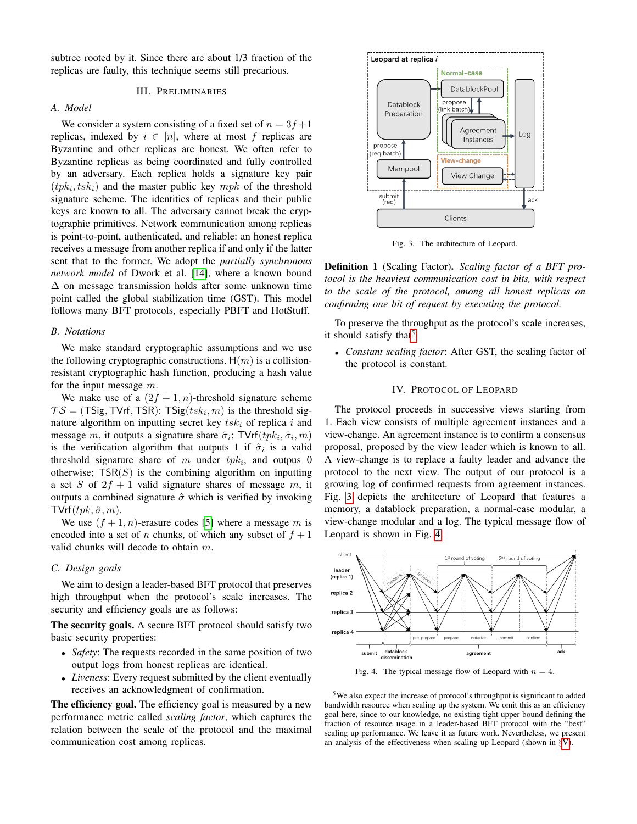subtree rooted by it. Since there are about 1/3 fraction of the replicas are faulty, this technique seems still precarious.

# III. PRELIMINARIES

## <span id="page-4-3"></span>*A. Model*

We consider a system consisting of a fixed set of  $n = 3f+1$ replicas, indexed by  $i \in [n]$ , where at most f replicas are Byzantine and other replicas are honest. We often refer to Byzantine replicas as being coordinated and fully controlled by an adversary. Each replica holds a signature key pair  $(tpk_i,tsk_i)$  and the master public key  $mpk$  of the threshold signature scheme. The identities of replicas and their public keys are known to all. The adversary cannot break the cryptographic primitives. Network communication among replicas is point-to-point, authenticated, and reliable: an honest replica receives a message from another replica if and only if the latter sent that to the former. We adopt the *partially synchronous network model* of Dwork et al. [\[14\]](#page-12-0), where a known bound  $\Delta$  on message transmission holds after some unknown time point called the global stabilization time (GST). This model follows many BFT protocols, especially PBFT and HotStuff.

#### *B. Notations*

We make standard cryptographic assumptions and we use the following cryptographic constructions.  $H(m)$  is a collisionresistant cryptographic hash function, producing a hash value for the input message  $m$ .

We make use of a  $(2f + 1, n)$ -threshold signature scheme  $TS = (TSig, TVrf, TSR): TSig(tsk_i, m)$  is the threshold signature algorithm on inputting secret key  $tsk_i$  of replica i and message m, it outputs a signature share  $\hat{\sigma}_i$ ; TVrf $(tpk_i, \hat{\sigma}_i, m)$ is the verification algorithm that outputs 1 if  $\hat{\sigma}_i$  is a valid threshold signature share of m under  $tpk_i$ , and outpus 0 otherwise;  $TSR(S)$  is the combining algorithm on inputting a set S of  $2f + 1$  valid signature shares of message m, it outputs a combined signature  $\hat{\sigma}$  which is verified by invoking  $TVrf(tpk, \hat{\sigma}, m)$ .

We use  $(f + 1, n)$ -erasure codes [\[5\]](#page-12-8) where a message m is encoded into a set of n chunks, of which any subset of  $f + 1$ valid chunks will decode to obtain  $m$ .

## *C. Design goals*

We aim to design a leader-based BFT protocol that preserves high throughput when the protocol's scale increases. The security and efficiency goals are as follows:

The security goals. A secure BFT protocol should satisfy two basic security properties:

- *Safety*: The requests recorded in the same position of two output logs from honest replicas are identical.
- *Liveness*: Every request submitted by the client eventually receives an acknowledgment of confirmation.

The efficiency goal. The efficiency goal is measured by a new performance metric called *scaling factor*, which captures the relation between the scale of the protocol and the maximal communication cost among replicas.



<span id="page-4-1"></span>Fig. 3. The architecture of Leopard.

Definition 1 (Scaling Factor). *Scaling factor of a BFT protocol is the heaviest communication cost in bits, with respect to the scale of the protocol, among all honest replicas on confirming one bit of request by executing the protocol.*

To preserve the throughput as the protocol's scale increases, it should satisfy that<sup>[5](#page-4-0)</sup>:

• *Constant scaling factor*: After GST, the scaling factor of the protocol is constant.

# IV. PROTOCOL OF LEOPARD

The protocol proceeds in successive views starting from 1. Each view consists of multiple agreement instances and a view-change. An agreement instance is to confirm a consensus proposal, proposed by the view leader which is known to all. A view-change is to replace a faulty leader and advance the protocol to the next view. The output of our protocol is a growing log of confirmed requests from agreement instances. Fig. [3](#page-4-1) depicts the architecture of Leopard that features a memory, a datablock preparation, a normal-case modular, a view-change modular and a log. The typical message flow of Leopard is shown in Fig. [4.](#page-4-2)



<span id="page-4-2"></span>Fig. 4. The typical message flow of Leopard with  $n = 4$ .

<span id="page-4-0"></span><sup>5</sup>We also expect the increase of protocol's throughput is significant to added bandwidth resource when scaling up the system. We omit this as an efficiency goal here, since to our knowledge, no existing tight upper bound defining the fraction of resource usage in a leader-based BFT protocol with the "best" scaling up performance. We leave it as future work. Nevertheless, we present an analysis of the effectiveness when scaling up Leopard (shown in §[V\)](#page-7-0).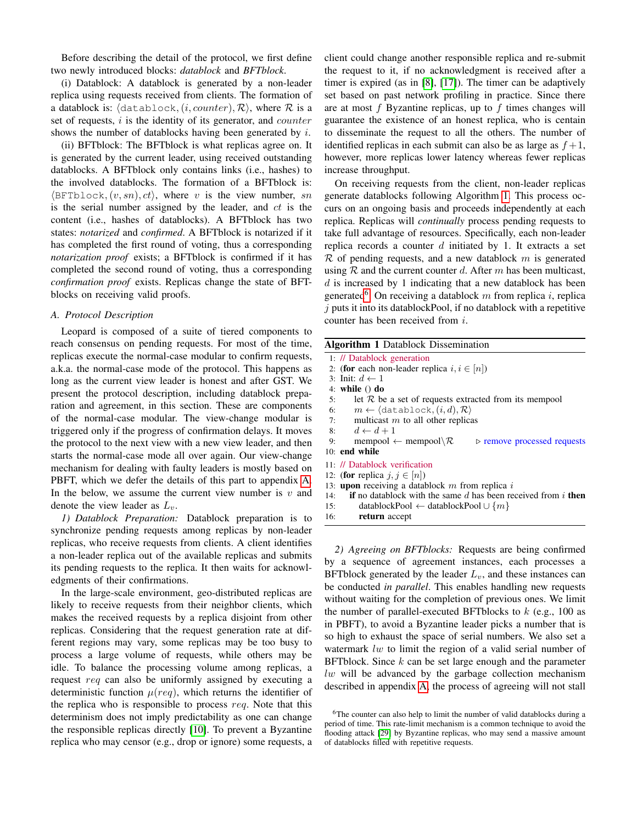Before describing the detail of the protocol, we first define two newly introduced blocks: *datablock* and *BFTblock*.

(i) Datablock: A datablock is generated by a non-leader replica using requests received from clients. The formation of a datablock is:  $\langle$  datablock, $(i, counter), \mathcal{R} \rangle$ , where  $\mathcal R$  is a set of requests,  $i$  is the identity of its generator, and *counter* shows the number of datablocks having been generated by  $i$ .

(ii) BFTblock: The BFTblock is what replicas agree on. It is generated by the current leader, using received outstanding datablocks. A BFTblock only contains links (i.e., hashes) to the involved datablocks. The formation of a BFTblock is:  $\langle \text{BFTblock}, (v, sn), ct \rangle$ , where v is the view number, sn is the serial number assigned by the leader, and  $ct$  is the content (i.e., hashes of datablocks). A BFTblock has two states: *notarized* and *confirmed*. A BFTblock is notarized if it has completed the first round of voting, thus a corresponding *notarization proof* exists; a BFTblock is confirmed if it has completed the second round of voting, thus a corresponding *confirmation proof* exists. Replicas change the state of BFTblocks on receiving valid proofs.

## *A. Protocol Description*

Leopard is composed of a suite of tiered components to reach consensus on pending requests. For most of the time, replicas execute the normal-case modular to confirm requests, a.k.a. the normal-case mode of the protocol. This happens as long as the current view leader is honest and after GST. We present the protocol description, including datablock preparation and agreement, in this section. These are components of the normal-case modular. The view-change modular is triggered only if the progress of confirmation delays. It moves the protocol to the next view with a new view leader, and then starts the normal-case mode all over again. Our view-change mechanism for dealing with faulty leaders is mostly based on PBFT, which we defer the details of this part to appendix [A.](#page-13-8) In the below, we assume the current view number is  $v$  and denote the view leader as  $L_v$ .

*1) Datablock Preparation:* Datablock preparation is to synchronize pending requests among replicas by non-leader replicas, who receive requests from clients. A client identifies a non-leader replica out of the available replicas and submits its pending requests to the replica. It then waits for acknowledgments of their confirmations.

In the large-scale environment, geo-distributed replicas are likely to receive requests from their neighbor clients, which makes the received requests by a replica disjoint from other replicas. Considering that the request generation rate at different regions may vary, some replicas may be too busy to process a large volume of requests, while others may be idle. To balance the processing volume among replicas, a request req can also be uniformly assigned by executing a deterministic function  $\mu (req)$ , which returns the identifier of the replica who is responsible to process req. Note that this determinism does not imply predictability as one can change the responsible replicas directly [\[10\]](#page-12-13). To prevent a Byzantine replica who may censor (e.g., drop or ignore) some requests, a client could change another responsible replica and re-submit the request to it, if no acknowledgment is received after a timer is expired (as in [\[8\]](#page-12-1), [\[17\]](#page-12-4)). The timer can be adaptively set based on past network profiling in practice. Since there are at most  $f$  Byzantine replicas, up to  $f$  times changes will guarantee the existence of an honest replica, who is centain to disseminate the request to all the others. The number of identified replicas in each submit can also be as large as  $f + 1$ , however, more replicas lower latency whereas fewer replicas increase throughput.

On receiving requests from the client, non-leader replicas generate datablocks following Algorithm [1.](#page-5-0) This process occurs on an ongoing basis and proceeds independently at each replica. Replicas will *continually* process pending requests to take full advantage of resources. Specifically, each non-leader replica records a counter  $d$  initiated by 1. It extracts a set  $\mathcal R$  of pending requests, and a new datablock m is generated using  $R$  and the current counter d. After m has been multicast,  $d$  is increased by 1 indicating that a new datablock has been generated<sup>[6](#page-5-1)</sup>. On receiving a datablock m from replica i, replica  $j$  puts it into its datablockPool, if no datablock with a repetitive counter has been received from i.

<span id="page-5-0"></span>

| <b>Algorithm 1</b> Datablock Dissemination                                                               |
|----------------------------------------------------------------------------------------------------------|
| 1: // Datablock generation                                                                               |
| 2: (for each non-leader replica $i, i \in [n]$ )                                                         |
| 3: Init: $d \leftarrow 1$                                                                                |
| 4: while $()$ do                                                                                         |
| let $R$ be a set of requests extracted from its mempool<br>5:                                            |
| $m \leftarrow \langle \texttt{database}, (i, d), \mathcal{R} \rangle$<br>6:                              |
| multicast $m$ to all other replicas<br>7:                                                                |
| 8: $d \leftarrow d+1$                                                                                    |
| mempool $\leftarrow$ mempool $\setminus \mathcal{R}$<br>9:<br>$\triangleright$ remove processed requests |
| 10: end while                                                                                            |
| 11: // Datablock verification                                                                            |
| 12: (for replica $j, j \in [n]$ )                                                                        |
| 13: <b>upon</b> receiving a datablock $m$ from replica $i$                                               |
| <b>if</b> no datablock with the same d has been received from i <b>then</b><br>14:                       |
| $datablockPool \leftarrow databasePool \cup \{m\}$<br>15:                                                |
| 16:<br>return accept                                                                                     |

*2) Agreeing on BFTblocks:* Requests are being confirmed by a sequence of agreement instances, each processes a BFTblock generated by the leader  $L<sub>v</sub>$ , and these instances can be conducted *in parallel*. This enables handling new requests without waiting for the completion of previous ones. We limit the number of parallel-executed BFTblocks to  $k$  (e.g., 100 as in PBFT), to avoid a Byzantine leader picks a number that is so high to exhaust the space of serial numbers. We also set a watermark lw to limit the region of a valid serial number of BFTblock. Since  $k$  can be set large enough and the parameter  $lw$  will be advanced by the garbage collection mechanism described in appendix [A,](#page-13-8) the process of agreeing will not stall

<span id="page-5-1"></span><sup>&</sup>lt;sup>6</sup>The counter can also help to limit the number of valid datablocks during a period of time. This rate-limit mechanism is a common technique to avoid the flooding attack [\[29\]](#page-13-9) by Byzantine replicas, who may send a massive amount of datablocks filled with repetitive requests.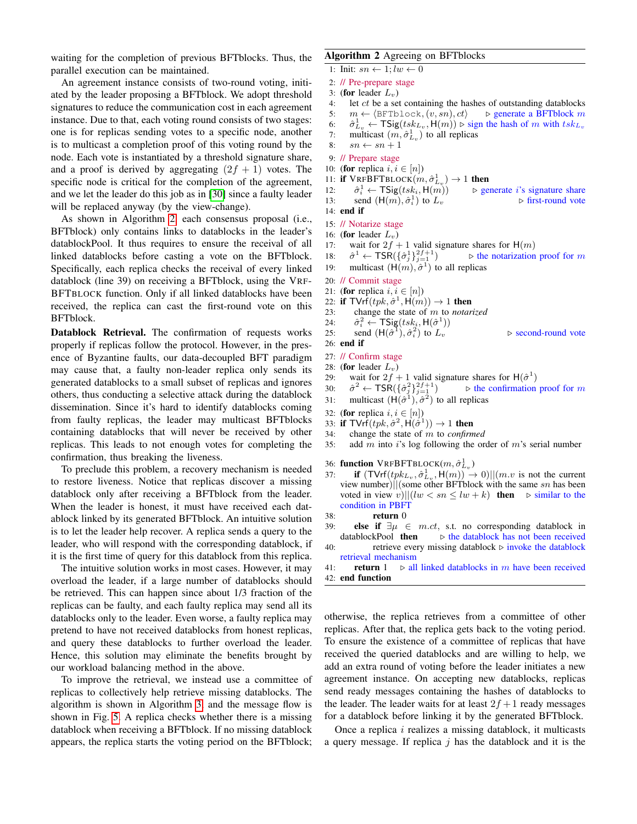waiting for the completion of previous BFTblocks. Thus, the parallel execution can be maintained.

An agreement instance consists of two-round voting, initiated by the leader proposing a BFTblock. We adopt threshold signatures to reduce the communication cost in each agreement instance. Due to that, each voting round consists of two stages: one is for replicas sending votes to a specific node, another is to multicast a completion proof of this voting round by the node. Each vote is instantiated by a threshold signature share, and a proof is derived by aggregating  $(2f + 1)$  votes. The specific node is critical for the completion of the agreement, and we let the leader do this job as in [\[30\]](#page-13-5) since a faulty leader will be replaced anyway (by the view-change).

As shown in Algorithm [2,](#page-6-0) each consensus proposal (i.e., BFTblock) only contains links to datablocks in the leader's datablockPool. It thus requires to ensure the receival of all linked datablocks before casting a vote on the BFTblock. Specifically, each replica checks the receival of every linked datablock (line 39) on receiving a BFTblock, using the VRF-BFTBLOCK function. Only if all linked datablocks have been received, the replica can cast the first-round vote on this BFTblock.

Datablock Retrieval. The confirmation of requests works properly if replicas follow the protocol. However, in the presence of Byzantine faults, our data-decoupled BFT paradigm may cause that, a faulty non-leader replica only sends its generated datablocks to a small subset of replicas and ignores others, thus conducting a selective attack during the datablock dissemination. Since it's hard to identify datablocks coming from faulty replicas, the leader may multicast BFTblocks containing datablocks that will never be received by other replicas. This leads to not enough votes for completing the confirmation, thus breaking the liveness.

To preclude this problem, a recovery mechanism is needed to restore liveness. Notice that replicas discover a missing datablock only after receiving a BFTblock from the leader. When the leader is honest, it must have received each datablock linked by its generated BFTblock. An intuitive solution is to let the leader help recover. A replica sends a query to the leader, who will respond with the corresponding datablock, if it is the first time of query for this datablock from this replica.

The intuitive solution works in most cases. However, it may overload the leader, if a large number of datablocks should be retrieved. This can happen since about 1/3 fraction of the replicas can be faulty, and each faulty replica may send all its datablocks only to the leader. Even worse, a faulty replica may pretend to have not received datablocks from honest replicas, and query these datablocks to further overload the leader. Hence, this solution may eliminate the benefits brought by our workload balancing method in the above.

To improve the retrieval, we instead use a committee of replicas to collectively help retrieve missing datablocks. The algorithm is shown in Algorithm [3,](#page-7-1) and the message flow is shown in Fig. [5.](#page-7-2) A replica checks whether there is a missing datablock when receiving a BFTblock. If no missing datablock appears, the replica starts the voting period on the BFTblock;

# <span id="page-6-0"></span>Algorithm 2 Agreeing on BFTblocks

- 1: Init:  $sn \leftarrow 1; lw \leftarrow 0$
- 2: // Pre-prepare stage

```
3: (for leader L_v)
```
- 4: let *ct* be a set containing the hashes of outstanding datablocks<br>5:  $m \leftarrow \langle \text{BFTblock}(v, sn), ct \rangle$   $\Rightarrow$  generate a BFTblock m
- 5:  $m \leftarrow \langle \text{BFTblock}, (v, sn), ct \rangle$
- 6:  $\hat{\sigma}_{L_v}^1 \leftarrow \textsf{TSig}(tsk_{L_v}, \textsf{H}(m)) \triangleright \text{sign the hash of } m \text{ with } tsk_{L_v}$
- 7: multicast  $(m, \hat{\sigma}_{L_v}^1)$  to all replicas
- 8:  $sn \leftarrow sn + 1$
- 9: // Prepare stage
- 10: (for replica  $i, i \in [n]$ )
- 11: if  $VRFBFTBLOCK(m, \hat{\sigma}_{L_v}^1) \rightarrow 1$  then

 $12:$  $\hat{\sigma}_i^1 \leftarrow \mathsf{TSig}(tsk_i, \mathsf{H}(m))$  $\triangleright$  generate *i*'s signature share

13: send  $(H(m), \hat{\sigma}_i^1)$  $\triangleright$  first-round vote

```
14: end if
```
- 15: // Notarize stage
- 16: (for leader  $L_v$ )
- 17: wait for  $2f + 1$  valid signature shares for  $H(m)$
- $18:$  $\mathbf{1} \leftarrow \mathsf{TSR}(\{\hat{\sigma}^1_j\}_{j=1}^{2f+1})$  $\triangleright$  the notarization proof for m
- 19: multicast  $(H(m), \hat{\sigma}^1)$  to all replicas
- 20: // Commit stage
- 21: (for replica  $i, i \in [n]$ )
- 22: if  $TVrf(tpk, \hat{\sigma}^1, \mathsf{H}(m)) \rightarrow 1$  then
- 23: change the state of m to *notarized*
- $24:$  $\hat{z}_i^2 \leftarrow \mathsf{TSig}(tsk_i, \mathsf{H}(\hat{\sigma}^1))$ 
	- $\triangleright$  second-round vote

```
25: send (H(\hat{\sigma}^1), \hat{\sigma}_i^2)26: end if
```

```
27: // Confirm stage
```
- 28: (for leader  $L_v$ )
- 29: wait for  $2f + 1$  valid signature shares for  $H(\hat{\sigma}^1)$
- $30:$  $\alpha^2 \leftarrow \textsf{TSR}(\{\hat{\sigma}^2_j\}_{j=1}^{2f+1})$  $\triangleright$  the confirmation proof for m
- 31: multicast  $(H(\hat{\sigma}^1), \hat{\sigma}^2)$  to all replicas
- 32: (for replica  $i, i \in [n]$ )
- 33: if  $TV \cdot f(tpk, \hat{\sigma}^2, \mathsf{H}(\hat{\sigma}^1)) \to 1$  then
- 34: change the state of m to *confirmed*
- 35: add m into i's log following the order of m's serial number

36: **function**  $V$ RFBFTBLOCK $(m, \hat{\sigma}_{L_v}^1)$ 

- 37: **if**  $(TVrf(tpk_{L_v}, \hat{\sigma}_{L_v}^1, \mathsf{H}(m)) \to 0)||(m.v \text{ is not the current})$ view number)||(some other BFTblock with the same  $sn$  has been voted in view v)|| $(lw < sn \leq lw + k)$  then  $\triangleright$  similar to the condition in PBFT
- 38: return 0
- 39: **else if**  $\exists \mu \in m \ldots ct$ , s.t. no corresponding datablock in datablockPool **then**  $\triangleright$  the datablock has not been received
- 40: retrieve every missing datablock  $\triangleright$  invoke the datablock retrieval mechanism

41: **return** 1  $\triangleright$  all linked datablocks in m have been received 42: end function

otherwise, the replica retrieves from a committee of other replicas. After that, the replica gets back to the voting period. To ensure the existence of a committee of replicas that have received the queried datablocks and are willing to help, we add an extra round of voting before the leader initiates a new agreement instance. On accepting new datablocks, replicas send ready messages containing the hashes of datablocks to the leader. The leader waits for at least  $2f + 1$  ready messages for a datablock before linking it by the generated BFTblock.

Once a replica  $i$  realizes a missing datablock, it multicasts a query message. If replica  $j$  has the datablock and it is the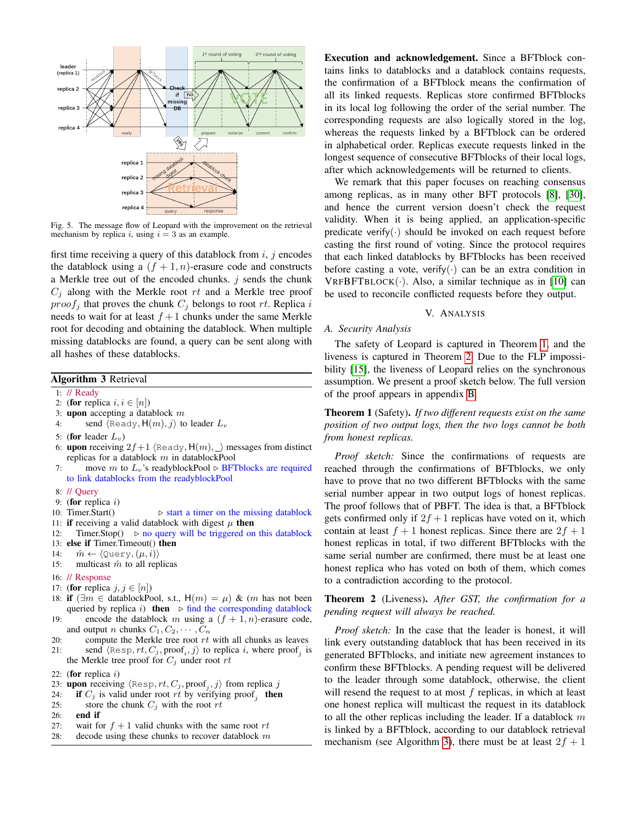

<span id="page-7-2"></span>Fig. 5. The message flow of Leopard with the improvement on the retrieval mechanism by replica i, using  $i = 3$  as an example.

first time receiving a query of this datablock from  $i, j$  encodes the datablock using a  $(f + 1, n)$ -erasure code and constructs a Merkle tree out of the encoded chunks.  $j$  sends the chunk  $C_j$  along with the Merkle root  $rt$  and a Merkle tree proof  $proof<sub>j</sub>$  that proves the chunk  $C<sub>j</sub>$  belongs to root rt. Replica i needs to wait for at least  $f + 1$  chunks under the same Merkle root for decoding and obtaining the datablock. When multiple missing datablocks are found, a query can be sent along with all hashes of these datablocks.

# <span id="page-7-1"></span>Algorithm 3 Retrieval

## 1: // Ready

- 2: (for replica  $i, i \in [n]$ )
- 3: upon accepting a datablock  $m$
- 4: send  $\langle$ Ready,  $H(m), j \rangle$  to leader  $L_v$
- 5: (for leader  $L_v$ )
- 6: upon receiving  $2f+1$  (Ready,  $H(m), \_\$ ) messages from distinct replicas for a datablock  $m$  in datablockPool
- 7: move m to  $L_v$ 's readyblockPool  $\triangleright$  BFTblocks are required to link datablocks from the readyblockPool
- 8: // Query
- 9: (for replica  $i$ )
- 10: Timer.Start()  $\triangleright$  start a timer on the missing datablock
- 11: if receiving a valid datablock with digest  $\mu$  then
- 12: Timer.Stop $() \geq$  no query will be triggered on this datablock
- 13: else if Timer.Timeout() then
- 14:  $\hat{m} \leftarrow \langle \text{Query}, (\mu, i) \rangle$
- 15: multicast  $\hat{m}$  to all replicas
- 16: // Response
- 17: (for replica  $j, j \in [n]$ )
- 18: **if**  $\exists m \in$  datablockPool, s.t., H(m) = μ) & (m has not been queried by replica i) then  $\triangleright$  find the corresponding datablock 19: encode the datablock m using a  $(f + 1, n)$ -erasure code,
- and output *n* chunks  $C_1, C_2, \cdots, C_n$
- 20: compute the Merkle tree root  $rt$  with all chunks as leaves
- 21: send  $\langle \text{Resp}, rt, C_j, \text{proof}_i, j \rangle$  to replica i, where proof<sub>j</sub> is the Merkle tree proof for  $C_j$  under root  $rt$
- 22: (for replica  $i$ )
- 23: upon receiving  $\langle \text{Resp}, rt, C_j, \text{proof}_j, j \rangle$  from replica j
- 24: **if**  $C_j$  is valid under root rt by verifying proof<sub>j</sub> then
- 25: store the chunk  $C_i$  with the root rt
- 26: end if
- 27: wait for  $f + 1$  valid chunks with the same root rt
- 28: decode using these chunks to recover datablock  $m$

Execution and acknowledgement. Since a BFTblock contains links to datablocks and a datablock contains requests, the confirmation of a BFTblock means the confirmation of all its linked requests. Replicas store confirmed BFTblocks in its local log following the order of the serial number. The corresponding requests are also logically stored in the log, whereas the requests linked by a BFTblock can be ordered in alphabetical order. Replicas execute requests linked in the longest sequence of consecutive BFTblocks of their local logs, after which acknowledgements will be returned to clients.

We remark that this paper focuses on reaching consensus among replicas, as in many other BFT protocols [\[8\]](#page-12-1), [\[30\]](#page-13-5), and hence the current version doesn't check the request validity. When it is being applied, an application-specific predicate verify( $\cdot$ ) should be invoked on each request before casting the first round of voting. Since the protocol requires that each linked datablocks by BFTblocks has been received before casting a vote, verify( $\cdot$ ) can be an extra condition in  $VRFBFTBLOCK(.)$ . Also, a similar technique as in [\[10\]](#page-12-13) can be used to reconcile conflicted requests before they output.

# V. ANALYSIS

## <span id="page-7-0"></span>*A. Security Analysis*

The safety of Leopard is captured in Theorem [1,](#page-7-3) and the liveness is captured in Theorem [2.](#page-7-4) Due to the FLP impossi-bility [\[15\]](#page-12-14), the liveness of Leopard relies on the synchronous assumption. We present a proof sketch below. The full version of the proof appears in appendix [B.](#page-14-0)

<span id="page-7-3"></span>Theorem 1 (Safety). *If two different requests exist on the same position of two output logs, then the two logs cannot be both from honest replicas.*

*Proof sketch:* Since the confirmations of requests are reached through the confirmations of BFTblocks, we only have to prove that no two different BFTblocks with the same serial number appear in two output logs of honest replicas. The proof follows that of PBFT. The idea is that, a BFTblock gets confirmed only if  $2f + 1$  replicas have voted on it, which contain at least  $f + 1$  honest replicas. Since there are  $2f + 1$ honest replicas in total, if two different BFTblocks with the same serial number are confirmed, there must be at least one honest replica who has voted on both of them, which comes to a contradiction according to the protocol.

# <span id="page-7-4"></span>Theorem 2 (Liveness). *After GST, the confirmation for a pending request will always be reached.*

*Proof sketch:* In the case that the leader is honest, it will link every outstanding datablock that has been received in its generated BFTblocks, and initiate new agreement instances to confirm these BFTblocks. A pending request will be delivered to the leader through some datablock, otherwise, the client will resend the request to at most  $f$  replicas, in which at least one honest replica will multicast the request in its datablock to all the other replicas including the leader. If a datablock  $m$ is linked by a BFTblock, according to our datablock retrieval mechanism (see Algorithm [3\)](#page-7-1), there must be at least  $2f + 1$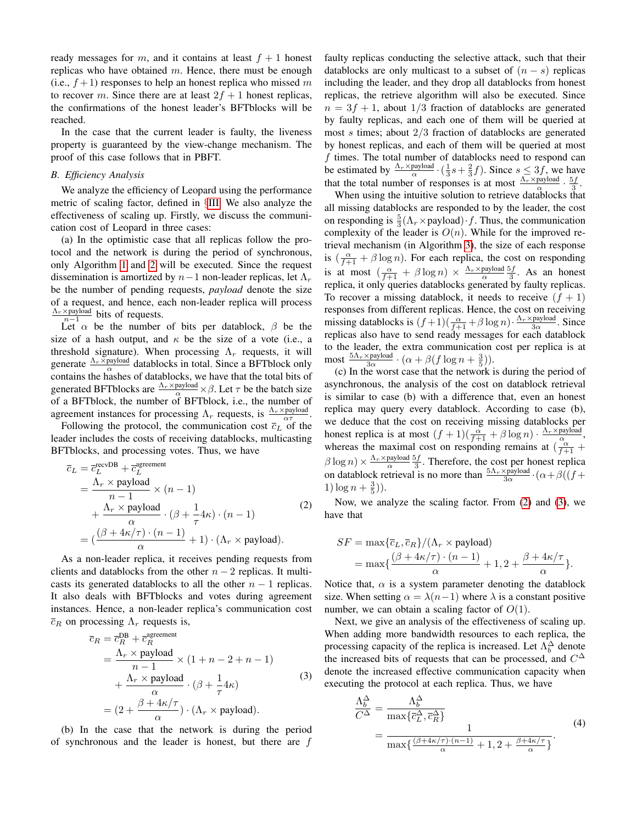ready messages for m, and it contains at least  $f + 1$  honest replicas who have obtained  $m$ . Hence, there must be enough (i.e.,  $f+1$ ) responses to help an honest replica who missed m to recover m. Since there are at least  $2f + 1$  honest replicas, the confirmations of the honest leader's BFTblocks will be reached.

In the case that the current leader is faulty, the liveness property is guaranteed by the view-change mechanism. The proof of this case follows that in PBFT.

## *B. Efficiency Analysis*

We analyze the efficiency of Leopard using the performance metric of scaling factor, defined in §[III.](#page-4-3) We also analyze the effectiveness of scaling up. Firstly, we discuss the communication cost of Leopard in three cases:

(a) In the optimistic case that all replicas follow the protocol and the network is during the period of synchronous, only Algorithm [1](#page-5-0) and [2](#page-6-0) will be executed. Since the request dissemination is amortized by  $n-1$  non-leader replicas, let  $\Lambda_r$ be the number of pending requests, *payload* denote the size of a request, and hence, each non-leader replica will process  $\frac{\Lambda_r \times \text{payload}}{n-1}$  bits of requests.

Let  $\alpha$  be the number of bits per datablock,  $\beta$  be the size of a hash output, and  $\kappa$  be the size of a vote (i.e., a threshold signature). When processing  $\Lambda_r$  requests, it will generate  $\frac{\Lambda_r \times \text{payload}}{\alpha}$  datablocks in total. Since a BFTblock only contains the hashes of datablocks, we have that the total bits of generated BFTblocks are  $\frac{\Lambda_r \times \text{payload}}{\alpha} \times \beta$ . Let  $\tau$  be the batch size of a BFTblock, the number of BFTblock, i.e., the number of agreement instances for processing  $\Lambda_r$  requests, is  $\frac{\Lambda_r \times \text{payload}}{\alpha \tau}$ .

Following the protocol, the communication cost  $\overline{c}_L$  of the leader includes the costs of receiving datablocks, multicasting BFTblocks, and processing votes. Thus, we have

<span id="page-8-0"></span>
$$
\overline{c}_L = \overline{c}_L^{\text{recvDB}} + \overline{c}_L^{\text{agreement}} \n= \frac{\Lambda_r \times \text{payload}}{n-1} \times (n-1) \n+ \frac{\Lambda_r \times \text{payload}}{\alpha} \cdot (\beta + \frac{1}{\tau} 4\kappa) \cdot (n-1) \n= (\frac{(\beta + 4\kappa/\tau) \cdot (n-1)}{\alpha} + 1) \cdot (\Lambda_r \times \text{payload}).
$$
\n(2)

As a non-leader replica, it receives pending requests from clients and datablocks from the other  $n - 2$  replicas. It multicasts its generated datablocks to all the other  $n - 1$  replicas. It also deals with BFTblocks and votes during agreement instances. Hence, a non-leader replica's communication cost  $\overline{c}_R$  on processing  $\Lambda_r$  requests is,

<span id="page-8-1"></span>
$$
\overline{c}_R = \overline{c}_R^{\text{DB}} + \overline{c}_R^{\text{agreement}} \n= \frac{\Lambda_r \times \text{ payload}}{n-1} \times (1+n-2+n-1) \n+ \frac{\Lambda_r \times \text{ payload}}{\alpha} \cdot (\beta + \frac{1}{\tau} 4\kappa) \n= (2 + \frac{\beta + 4\kappa/\tau}{\alpha}) \cdot (\Lambda_r \times \text{ payload}).
$$
\n(3)

(b) In the case that the network is during the period of synchronous and the leader is honest, but there are  $f$  faulty replicas conducting the selective attack, such that their datablocks are only multicast to a subset of  $(n - s)$  replicas including the leader, and they drop all datablocks from honest replicas, the retrieve algorithm will also be executed. Since  $n = 3f + 1$ , about  $1/3$  fraction of datablocks are generated by faulty replicas, and each one of them will be queried at most  $s$  times; about  $2/3$  fraction of datablocks are generated by honest replicas, and each of them will be queried at most f times. The total number of datablocks need to respond can be estimated by  $\frac{\Lambda_r \times \text{payload}}{\alpha} \cdot (\frac{1}{3}s + \frac{2}{3}f)$ . Since  $s \leq 3f$ , we have that the total number of responses is at most  $\frac{\Lambda_r \times \text{payload}}{\alpha} \cdot \frac{5f}{3}$ .

When using the intuitive solution to retrieve datablocks that all missing datablocks are responded to by the leader, the cost on responding is  $\frac{5}{3}(\Lambda_r \times \text{payload}) \cdot f$ . Thus, the communication complexity of the leader is  $O(n)$ . While for the improved retrieval mechanism (in Algorithm [3\)](#page-7-1), the size of each response is  $\left(\frac{\alpha}{f+1} + \beta \log n\right)$ . For each replica, the cost on responding is at most  $\left(\frac{\alpha}{f+1} + \beta \log n\right) \times \frac{\Lambda_r \times \text{payload}}{\alpha} \frac{5f}{3}$ . As an honest replica, it only queries datablocks generated by faulty replicas. To recover a missing datablock, it needs to receive  $(f + 1)$ responses from different replicas. Hence, the cost on receiving missing datablocks is  $(f+1)(\frac{\alpha}{f+1}+\beta \log n) \cdot \frac{\Lambda_r \times \text{payload}}{3\alpha}$ . Since replicas also have to send ready messages for each datablock to the leader, the extra communication cost per replica is at most  $\frac{5\Lambda_r \times \text{payload}}{3\alpha} \cdot (\alpha + \beta(f \log n + \frac{3}{5})).$ 

(c) In the worst case that the network is during the period of asynchronous, the analysis of the cost on datablock retrieval is similar to case (b) with a difference that, even an honest replica may query every datablock. According to case (b), we deduce that the cost on receiving missing datablocks per honest replica is at most  $(f + 1)(\frac{\alpha}{f+1} + \beta \log n) \cdot \frac{\Lambda_r \times \text{payload}}{\alpha},$ whereas the maximal cost on responding remains at  $(\frac{\alpha}{f+1} + \alpha)$  $\beta \log n \times \frac{\Lambda_r \times \text{payload}}{\alpha} \frac{5f}{3}$ . Therefore, the cost per honest replica on datablock retrieval is no more than  $\frac{5\Lambda_r \times \text{payload}}{3\alpha} \cdot (\alpha + \beta)(f +$ 1)  $\log n + \frac{3}{5})$ ).

Now, we analyze the scaling factor. From [\(2\)](#page-8-0) and [\(3\)](#page-8-1), we have that

$$
SF = \max{\{\overline{c}_L, \overline{c}_R\}} / (\Lambda_r \times \text{payload})
$$
  
= 
$$
\max{\{\frac{(\beta + 4\kappa/\tau) \cdot (n-1)}{\alpha} + 1, 2 + \frac{\beta + 4\kappa/\tau}{\alpha}\}}.
$$

Notice that,  $\alpha$  is a system parameter denoting the datablock size. When setting  $\alpha = \lambda(n-1)$  where  $\lambda$  is a constant positive number, we can obtain a scaling factor of  $O(1)$ .

Next, we give an analysis of the effectiveness of scaling up. When adding more bandwidth resources to each replica, the processing capacity of the replica is increased. Let  $\Lambda_b^{\Delta}$  denote the increased bits of requests that can be processed, and  $C^{\Delta}$ denote the increased effective communication capacity when executing the protocol at each replica. Thus, we have

$$
\frac{\Lambda_b^{\Delta}}{C^{\Delta}} = \frac{\Lambda_b^{\Delta}}{\max\{\bar{c}_L^{\Delta}, \bar{c}_R^{\Delta}\}}
$$
\n
$$
= \frac{1}{\max\{\frac{(\beta + 4\kappa/\tau) \cdot (n-1)}{\alpha} + 1, 2 + \frac{\beta + 4\kappa/\tau}{\alpha}\}}.
$$
\n(4)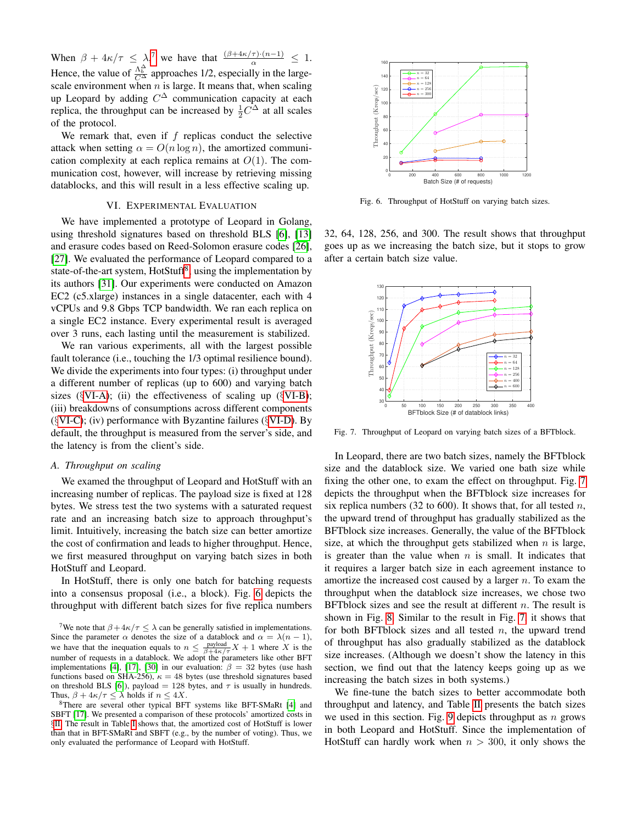When  $\beta + 4\kappa/\tau \leq \lambda$ , we have that  $\frac{(\beta + 4\kappa/\tau) \cdot (n-1)}{\alpha} \leq 1$ . Hence, the value of  $\frac{\Lambda_b^{\lambda}}{C\Delta}$  approaches 1/2, especially in the largescale environment when  $n$  is large. It means that, when scaling up Leopard by adding  $C^{\Delta}$  communication capacity at each replica, the throughput can be increased by  $\frac{1}{2}C^{\Delta}$  at all scales of the protocol.

We remark that, even if  $f$  replicas conduct the selective attack when setting  $\alpha = O(n \log n)$ , the amortized communication complexity at each replica remains at  $O(1)$ . The communication cost, however, will increase by retrieving missing datablocks, and this will result in a less effective scaling up.

# VI. EXPERIMENTAL EVALUATION

<span id="page-9-0"></span>We have implemented a prototype of Leopard in Golang, using threshold signatures based on threshold BLS [\[6\]](#page-12-9), [\[13\]](#page-12-15) and erasure codes based on Reed-Solomon erasure codes [\[26\]](#page-13-10), [\[27\]](#page-13-11). We evaluated the performance of Leopard compared to a state-of-the-art system, HotStuff<sup>[8](#page-9-2)</sup>, using the implementation by its authors [\[31\]](#page-13-12). Our experiments were conducted on Amazon EC2 (c5.xlarge) instances in a single datacenter, each with 4 vCPUs and 9.8 Gbps TCP bandwidth. We ran each replica on a single EC2 instance. Every experimental result is averaged over 3 runs, each lasting until the measurement is stabilized.

We ran various experiments, all with the largest possible fault tolerance (i.e., touching the  $1/3$  optimal resilience bound). We divide the experiments into four types: (i) throughput under a different number of replicas (up to 600) and varying batch sizes ( $\S$ [VI-A\)](#page-9-3); (ii) the effectiveness of scaling up ( $\S$ [VI-B\)](#page-10-0); (iii) breakdowns of consumptions across different components  $(\text{VI-C})$ ; (iv) performance with Byzantine failures ( $\text{VI-D}$ ). By default, the throughput is measured from the server's side, and the latency is from the client's side.

## <span id="page-9-3"></span>*A. Throughput on scaling*

We examed the throughput of Leopard and HotStuff with an increasing number of replicas. The payload size is fixed at 128 bytes. We stress test the two systems with a saturated request rate and an increasing batch size to approach throughput's limit. Intuitively, increasing the batch size can better amortize the cost of confirmation and leads to higher throughput. Hence, we first measured throughput on varying batch sizes in both HotStuff and Leopard.

In HotStuff, there is only one batch for batching requests into a consensus proposal (i.e., a block). Fig. [6](#page-9-4) depicts the throughput with different batch sizes for five replica numbers



<span id="page-9-4"></span>Fig. 6. Throughput of HotStuff on varying batch sizes.

32, 64, 128, 256, and 300. The result shows that throughput goes up as we increasing the batch size, but it stops to grow after a certain batch size value.



<span id="page-9-5"></span>Fig. 7. Throughput of Leopard on varying batch sizes of a BFTblock.

In Leopard, there are two batch sizes, namely the BFTblock size and the datablock size. We varied one bath size while fixing the other one, to exam the effect on throughput. Fig. [7](#page-9-5) depicts the throughput when the BFTblock size increases for six replica numbers (32 to 600). It shows that, for all tested  $n$ , the upward trend of throughput has gradually stabilized as the BFTblock size increases. Generally, the value of the BFTblock size, at which the throughput gets stabilized when  $n$  is large, is greater than the value when  $n$  is small. It indicates that it requires a larger batch size in each agreement instance to amortize the increased cost caused by a larger  $n$ . To exam the throughput when the datablock size increases, we chose two BFTblock sizes and see the result at different  $n$ . The result is shown in Fig. [8.](#page-10-1) Similar to the result in Fig. [7,](#page-9-5) it shows that for both BFTblock sizes and all tested  $n$ , the upward trend of throughput has also gradually stabilized as the datablock size increases. (Although we doesn't show the latency in this section, we find out that the latency keeps going up as we increasing the batch sizes in both systems.)

We fine-tune the batch sizes to better accommodate both throughput and latency, and Table [II](#page-10-2) presents the batch sizes we used in this section. Fig. [9](#page-10-3) depicts throughput as  $n$  grows in both Leopard and HotStuff. Since the implementation of HotStuff can hardly work when  $n > 300$ , it only shows the

<span id="page-9-1"></span><sup>&</sup>lt;sup>7</sup>We note that  $\beta + 4\kappa/\tau \leq \lambda$  can be generally satisfied in implementations. Since the parameter  $\alpha$  denotes the size of a datablock and  $\alpha = \lambda(n-1)$ , we have that the inequation equals to  $n \leq \frac{payload}{\beta + 4\kappa/\tau}X + 1$  where X is the number of requests in a datablock. We adopt the parameters like other BFT implementations [\[4\]](#page-12-3), [\[17\]](#page-12-4), [\[30\]](#page-13-5) in our evaluation:  $\beta = 32$  bytes (use hash functions based on SHA-256),  $\kappa = 48$  bytes (use threshold signatures based on threshold BLS [\[6\]](#page-12-9)), payload = 128 bytes, and  $\tau$  is usually in hundreds. Thus,  $\beta + 4\kappa/\tau \leq \lambda$  holds if  $n \leq 4X$ .

<span id="page-9-2"></span><sup>8</sup>There are several other typical BFT systems like BFT-SMaRt [\[4\]](#page-12-3) and SBFT [\[17\]](#page-12-4). We presented a comparison of these protocols' amortized costs in §[II.](#page-3-1) The result in Table [I](#page-3-0) shows that, the amortized cost of HotStuff is lower than that in BFT-SMaRt and SBFT (e.g., by the number of voting). Thus, we only evaluated the performance of Leopard with HotStuff.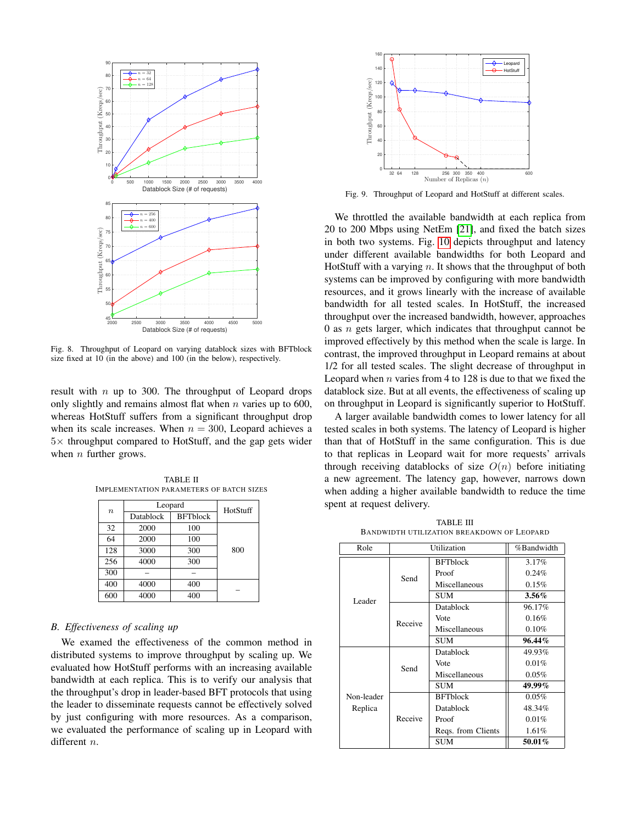

<span id="page-10-1"></span>Fig. 8. Throughput of Leopard on varying datablock sizes with BFTblock size fixed at 10 (in the above) and 100 (in the below), respectively.

result with  $n$  up to 300. The throughput of Leopard drops only slightly and remains almost flat when  $n$  varies up to 600, whereas HotStuff suffers from a significant throughput drop when its scale increases. When  $n = 300$ , Leopard achieves a  $5\times$  throughput compared to HotStuff, and the gap gets wider when  $n$  further grows.

<span id="page-10-2"></span>TABLE II IMPLEMENTATION PARAMETERS OF BATCH SIZES

| $\boldsymbol{n}$ | Leopard                      | HotStuff |     |  |
|------------------|------------------------------|----------|-----|--|
|                  | <b>BFTblock</b><br>Datablock |          |     |  |
| 32               | 2000                         | 100      |     |  |
| 64               | 2000                         | 100      |     |  |
| 128              | 3000                         | 300      | 800 |  |
| 256              | 4000                         | 300      |     |  |
| 300              |                              |          |     |  |
| 400              | 4000                         | 400      |     |  |
| 600              | 4000                         | 400      |     |  |

# <span id="page-10-0"></span>*B. Effectiveness of scaling up*

We examed the effectiveness of the common method in distributed systems to improve throughput by scaling up. We evaluated how HotStuff performs with an increasing available bandwidth at each replica. This is to verify our analysis that the throughput's drop in leader-based BFT protocols that using the leader to disseminate requests cannot be effectively solved by just configuring with more resources. As a comparison, we evaluated the performance of scaling up in Leopard with different *n*.



<span id="page-10-3"></span>Fig. 9. Throughput of Leopard and HotStuff at different scales.

We throttled the available bandwidth at each replica from 20 to 200 Mbps using NetEm [\[21\]](#page-13-13), and fixed the batch sizes in both two systems. Fig. [10](#page-11-2) depicts throughput and latency under different available bandwidths for both Leopard and HotStuff with a varying  $n$ . It shows that the throughput of both systems can be improved by configuring with more bandwidth resources, and it grows linearly with the increase of available bandwidth for all tested scales. In HotStuff, the increased throughput over the increased bandwidth, however, approaches 0 as  $n$  gets larger, which indicates that throughput cannot be improved effectively by this method when the scale is large. In contrast, the improved throughput in Leopard remains at about 1/2 for all tested scales. The slight decrease of throughput in Leopard when  $n$  varies from 4 to 128 is due to that we fixed the datablock size. But at all events, the effectiveness of scaling up on throughput in Leopard is significantly superior to HotStuff.

A larger available bandwidth comes to lower latency for all tested scales in both systems. The latency of Leopard is higher than that of HotStuff in the same configuration. This is due to that replicas in Leopard wait for more requests' arrivals through receiving datablocks of size  $O(n)$  before initiating a new agreement. The latency gap, however, narrows down when adding a higher available bandwidth to reduce the time spent at request delivery.

TABLE III BANDWIDTH UTILIZATION BREAKDOWN OF LEOPARD

<span id="page-10-4"></span>

| Role                  | Utilization |                    | %Bandwidth |  |
|-----------------------|-------------|--------------------|------------|--|
|                       | Send        | <b>BFTblock</b>    | 3.17%      |  |
|                       |             | Proof              | 0.24%      |  |
|                       |             | Miscellaneous      | 0.15%      |  |
| Leader                |             | <b>SUM</b>         | 3.56%      |  |
|                       | Receive     | Datablock          | 96.17%     |  |
|                       |             | Vote               | 0.16%      |  |
|                       |             | Miscellaneous      | 0.10%      |  |
|                       |             | <b>SUM</b>         | $96.44\%$  |  |
| Non-leader<br>Replica | Send        | Datablock          | 49.93%     |  |
|                       |             | Vote               | 0.01%      |  |
|                       |             | Miscellaneous      | 0.05%      |  |
|                       |             | <b>SUM</b>         | $49.99\%$  |  |
|                       | Receive     | <b>BFTblock</b>    | 0.05%      |  |
|                       |             | Datablock          | 48.34%     |  |
|                       |             | Proof              | 0.01%      |  |
|                       |             | Regs. from Clients | 1.61%      |  |
|                       |             | <b>SUM</b>         | 50.01%     |  |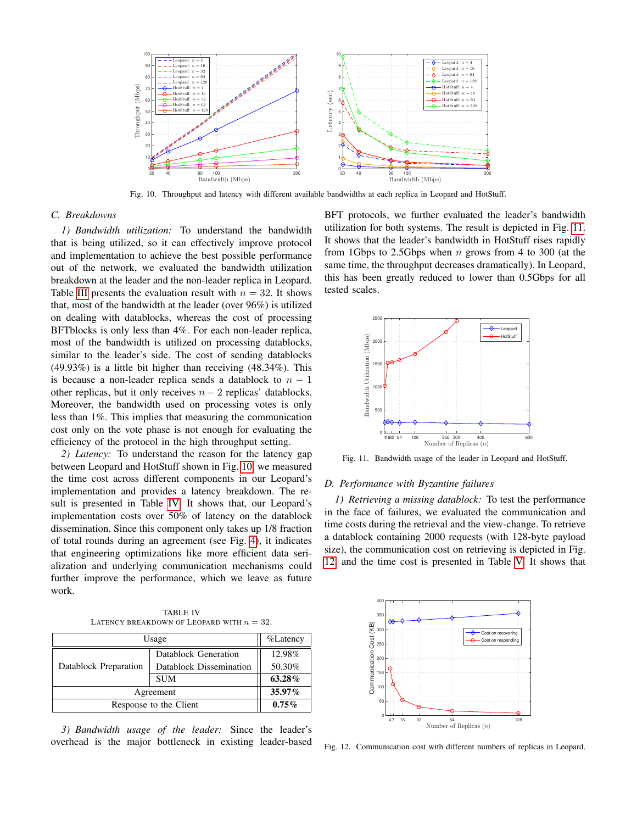

<span id="page-11-2"></span>Fig. 10. Throughput and latency with different available bandwidths at each replica in Leopard and HotStuff.

# <span id="page-11-0"></span>*C. Breakdowns*

*1) Bandwidth utilization:* To understand the bandwidth that is being utilized, so it can effectively improve protocol and implementation to achieve the best possible performance out of the network, we evaluated the bandwidth utilization breakdown at the leader and the non-leader replica in Leopard. Table [III](#page-10-4) presents the evaluation result with  $n = 32$ . It shows that, most of the bandwidth at the leader (over 96%) is utilized on dealing with datablocks, whereas the cost of processing BFTblocks is only less than 4%. For each non-leader replica, most of the bandwidth is utilized on processing datablocks, similar to the leader's side. The cost of sending datablocks (49.93%) is a little bit higher than receiving (48.34%). This is because a non-leader replica sends a datablock to  $n - 1$ other replicas, but it only receives  $n - 2$  replicas' datablocks. Moreover, the bandwidth used on processing votes is only less than 1%. This implies that measuring the communication cost only on the vote phase is not enough for evaluating the efficiency of the protocol in the high throughput setting.

*2) Latency:* To understand the reason for the latency gap between Leopard and HotStuff shown in Fig. [10,](#page-11-2) we measured the time cost across different components in our Leopard's implementation and provides a latency breakdown. The result is presented in Table [IV.](#page-11-3) It shows that, our Leopard's implementation costs over 50% of latency on the datablock dissemination. Since this component only takes up 1/8 fraction of total rounds during an agreement (see Fig. [4\)](#page-4-2), it indicates that engineering optimizations like more efficient data serialization and underlying communication mechanisms could further improve the performance, which we leave as future work.

TABLE IV LATENCY BREAKDOWN OF LEOPARD WITH  $n = 32$ .

<span id="page-11-3"></span>

| Usage                  | $\%$ Latency            |        |
|------------------------|-------------------------|--------|
| Datablock Preparation  | Datablock Generation    | 12.98% |
|                        | Datablock Dissemination | 50.30% |
|                        | <b>SUM</b>              | 63.28% |
| Agreement              | 35.97%                  |        |
| Response to the Client | $0.75\%$                |        |

*3) Bandwidth usage of the leader:* Since the leader's overhead is the major bottleneck in existing leader-based BFT protocols, we further evaluated the leader's bandwidth utilization for both systems. The result is depicted in Fig. [11.](#page-11-4) It shows that the leader's bandwidth in HotStuff rises rapidly from 1Gbps to 2.5Gbps when  $n$  grows from 4 to 300 (at the same time, the throughput decreases dramatically). In Leopard, this has been greatly reduced to lower than 0.5Gbps for all tested scales.



<span id="page-11-4"></span>Fig. 11. Bandwidth usage of the leader in Leopard and HotStuff.

# <span id="page-11-1"></span>*D. Performance with Byzantine failures*

*1) Retrieving a missing datablock:* To test the performance in the face of failures, we evaluated the communication and time costs during the retrieval and the view-change. To retrieve a datablock containing 2000 requests (with 128-byte payload size), the communication cost on retrieving is depicted in Fig. [12,](#page-11-5) and the time cost is presented in Table [V.](#page-12-16) It shows that



<span id="page-11-5"></span>Fig. 12. Communication cost with different numbers of replicas in Leopard.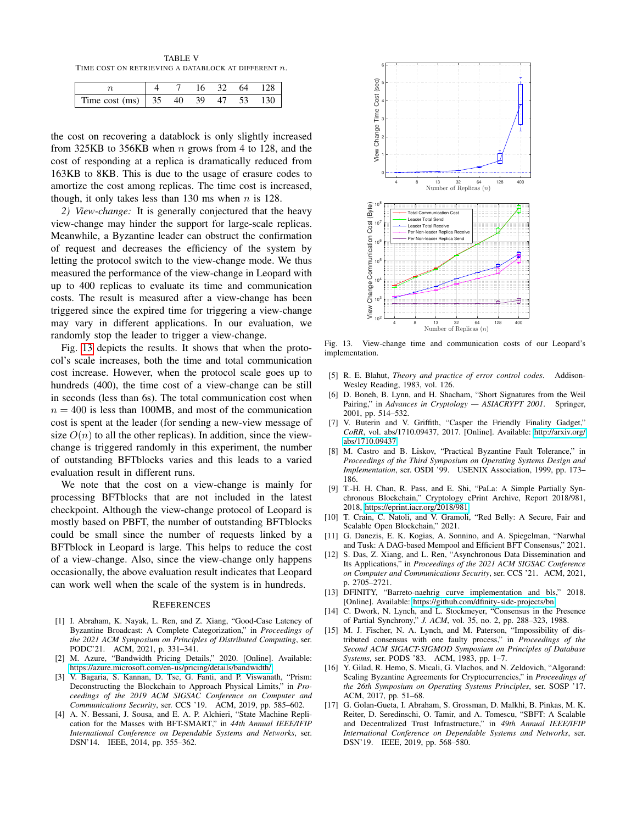<span id="page-12-16"></span>TABLE V TIME COST ON RETRIEVING A DATABLOCK AT DIFFERENT  $\boldsymbol{n}.$ 

|                                                                                |  |  | 16 32 64 128 |
|--------------------------------------------------------------------------------|--|--|--------------|
| Time cost (ms) $\begin{array}{ ccc } 35 & 40 & 39 & 47 & 53 & 130 \end{array}$ |  |  |              |

the cost on recovering a datablock is only slightly increased from 325KB to 356KB when  $n$  grows from 4 to 128, and the cost of responding at a replica is dramatically reduced from 163KB to 8KB. This is due to the usage of erasure codes to amortize the cost among replicas. The time cost is increased, though, it only takes less than 130 ms when  $n$  is 128.

*2) View-change:* It is generally conjectured that the heavy view-change may hinder the support for large-scale replicas. Meanwhile, a Byzantine leader can obstruct the confirmation of request and decreases the efficiency of the system by letting the protocol switch to the view-change mode. We thus measured the performance of the view-change in Leopard with up to 400 replicas to evaluate its time and communication costs. The result is measured after a view-change has been triggered since the expired time for triggering a view-change may vary in different applications. In our evaluation, we randomly stop the leader to trigger a view-change.

Fig. [13](#page-12-17) depicts the results. It shows that when the protocol's scale increases, both the time and total communication cost increase. However, when the protocol scale goes up to hundreds (400), the time cost of a view-change can be still in seconds (less than 6s). The total communication cost when  $n = 400$  is less than 100MB, and most of the communication cost is spent at the leader (for sending a new-view message of size  $O(n)$  to all the other replicas). In addition, since the viewchange is triggered randomly in this experiment, the number of outstanding BFTblocks varies and this leads to a varied evaluation result in different runs.

We note that the cost on a view-change is mainly for processing BFTblocks that are not included in the latest checkpoint. Although the view-change protocol of Leopard is mostly based on PBFT, the number of outstanding BFTblocks could be small since the number of requests linked by a BFTblock in Leopard is large. This helps to reduce the cost of a view-change. Also, since the view-change only happens occasionally, the above evaluation result indicates that Leopard can work well when the scale of the system is in hundreds.

## **REFERENCES**

- <span id="page-12-7"></span>[1] I. Abraham, K. Nayak, L. Ren, and Z. Xiang, "Good-Case Latency of Byzantine Broadcast: A Complete Categorization," in *Proceedings of the 2021 ACM Symposium on Principles of Distributed Computing*, ser. PODC'21. ACM, 2021, p. 331–341.
- <span id="page-12-5"></span>[2] M. Azure, "Bandwidth Pricing Details," 2020. [Online]. Available: <https://azure.microsoft.com/en-us/pricing/details/bandwidth/>
- <span id="page-12-10"></span>[3] V. Bagaria, S. Kannan, D. Tse, G. Fanti, and P. Viswanath, "Prism: Deconstructing the Blockchain to Approach Physical Limits," in *Proceedings of the 2019 ACM SIGSAC Conference on Computer and Communications Security*, ser. CCS '19. ACM, 2019, pp. 585–602.
- <span id="page-12-3"></span>[4] A. N. Bessani, J. Sousa, and E. A. P. Alchieri, "State Machine Replication for the Masses with BFT-SMART," in *44th Annual IEEE/IFIP International Conference on Dependable Systems and Networks*, ser. DSN'14. IEEE, 2014, pp. 355–362.



<span id="page-12-17"></span>Fig. 13. View-change time and communication costs of our Leopard's implementation.

- <span id="page-12-8"></span>[5] R. E. Blahut, *Theory and practice of error control codes*. Addison-Wesley Reading, 1983, vol. 126.
- <span id="page-12-9"></span>[6] D. Boneh, B. Lynn, and H. Shacham, "Short Signatures from the Weil Pairing," in *Advances in Cryptology — ASIACRYPT 2001*. Springer, 2001, pp. 514–532.
- <span id="page-12-6"></span>[7] V. Buterin and V. Griffith, "Casper the Friendly Finality Gadget," *CoRR*, vol. abs/1710.09437, 2017. [Online]. Available: [http://arxiv.org/](http://arxiv.org/abs/1710.09437) [abs/1710.09437](http://arxiv.org/abs/1710.09437)
- <span id="page-12-1"></span>[8] M. Castro and B. Liskov, "Practical Byzantine Fault Tolerance," in *Proceedings of the Third Symposium on Operating Systems Design and Implementation*, ser. OSDI '99. USENIX Association, 1999, pp. 173– 186.
- <span id="page-12-18"></span>[9] T.-H. H. Chan, R. Pass, and E. Shi, "PaLa: A Simple Partially Synchronous Blockchain," Cryptology ePrint Archive, Report 2018/981, 2018, [https://eprint.iacr.org/2018/981.](https://eprint.iacr.org/2018/981)
- <span id="page-12-13"></span>[10] T. Crain, C. Natoli, and V. Gramoli, "Red Belly: A Secure, Fair and Scalable Open Blockchain," 2021.
- <span id="page-12-11"></span>[11] G. Danezis, E. K. Kogias, A. Sonnino, and A. Spiegelman, "Narwhal and Tusk: A DAG-based Mempool and Efficient BFT Consensus," 2021.
- <span id="page-12-12"></span>[12] S. Das, Z. Xiang, and L. Ren, "Asynchronous Data Dissemination and Its Applications," in *Proceedings of the 2021 ACM SIGSAC Conference on Computer and Communications Security*, ser. CCS '21. ACM, 2021, p. 2705–2721.
- <span id="page-12-15"></span>[13] DFINITY, "Barreto-naehrig curve implementation and bls," 2018. [Online]. Available:<https://github.com/dfinity-side-projects/bn>
- <span id="page-12-0"></span>[14] C. Dwork, N. Lynch, and L. Stockmeyer, "Consensus in the Presence of Partial Synchrony," *J. ACM*, vol. 35, no. 2, pp. 288–323, 1988.
- <span id="page-12-14"></span>[15] M. J. Fischer, N. A. Lynch, and M. Paterson, "Impossibility of distributed consensus with one faulty process," in *Proceedings of the Second ACM SIGACT-SIGMOD Symposium on Principles of Database Systems*, ser. PODS '83. ACM, 1983, pp. 1–7.
- <span id="page-12-2"></span>[16] Y. Gilad, R. Hemo, S. Micali, G. Vlachos, and N. Zeldovich, "Algorand: Scaling Byzantine Agreements for Cryptocurrencies," in *Proceedings of the 26th Symposium on Operating Systems Principles*, ser. SOSP '17. ACM, 2017, pp. 51–68.
- <span id="page-12-4"></span>[17] G. Golan-Gueta, I. Abraham, S. Grossman, D. Malkhi, B. Pinkas, M. K. Reiter, D. Seredinschi, O. Tamir, and A. Tomescu, "SBFT: A Scalable and Decentralized Trust Infrastructure," in *49th Annual IEEE/IFIP International Conference on Dependable Systems and Networks*, ser. DSN'19. IEEE, 2019, pp. 568–580.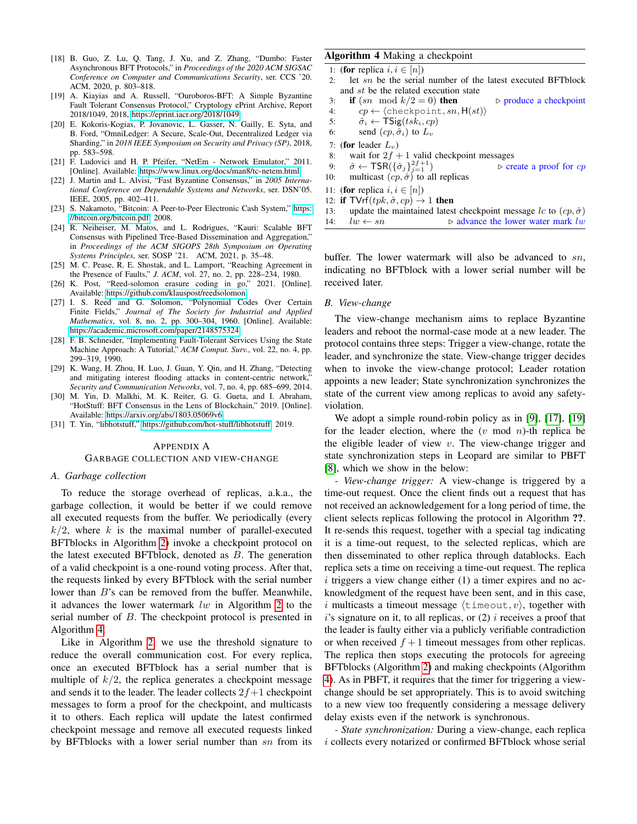- <span id="page-13-6"></span>[18] B. Guo, Z. Lu, Q. Tang, J. Xu, and Z. Zhang, "Dumbo: Faster Asynchronous BFT Protocols," in *Proceedings of the 2020 ACM SIGSAC Conference on Computer and Communications Security*, ser. CCS '20. ACM, 2020, p. 803–818.
- <span id="page-13-15"></span>[19] A. Kiayias and A. Russell, "Ouroboros-BFT: A Simple Byzantine Fault Tolerant Consensus Protocol," Cryptology ePrint Archive, Report 2018/1049, 2018, [https://eprint.iacr.org/2018/1049.](https://eprint.iacr.org/2018/1049)
- <span id="page-13-3"></span>[20] E. Kokoris-Kogias, P. Jovanovic, L. Gasser, N. Gailly, E. Syta, and B. Ford, "OmniLedger: A Secure, Scale-Out, Decentralized Ledger via Sharding," in *2018 IEEE Symposium on Security and Privacy (SP)*, 2018, pp. 583–598.
- <span id="page-13-13"></span>[21] F. Ludovici and H. P. Pfeifer, "NetEm - Network Emulator," 2011. [Online]. Available:<https://www.linux.org/docs/man8/tc-netem.html>
- <span id="page-13-4"></span>[22] J. Martin and L. Alvisi, "Fast Byzantine Consensus," in *2005 International Conference on Dependable Systems and Networks*, ser. DSN'05. IEEE, 2005, pp. 402–411.
- <span id="page-13-2"></span>[23] S. Nakamoto, "Bitcoin: A Peer-to-Peer Electronic Cash System," [https:](https://bitcoin.org/bitcoin.pdf) [//bitcoin.org/bitcoin.pdf,](https://bitcoin.org/bitcoin.pdf) 2008.
- <span id="page-13-7"></span>[24] R. Neiheiser, M. Matos, and L. Rodrigues, "Kauri: Scalable BFT Consensus with Pipelined Tree-Based Dissemination and Aggregation," in *Proceedings of the ACM SIGOPS 28th Symposium on Operating Systems Principles*, ser. SOSP '21. ACM, 2021, p. 35–48.
- <span id="page-13-0"></span>[25] M. C. Pease, R. E. Shostak, and L. Lamport, "Reaching Agreement in the Presence of Faults," *J. ACM*, vol. 27, no. 2, pp. 228–234, 1980.
- <span id="page-13-10"></span>[26] K. Post, "Reed-solomon erasure coding in go," 2021. [Online]. Available:<https://github.com/klauspost/reedsolomon>
- <span id="page-13-11"></span>[27] I. S. Reed and G. Solomon, "Polynomial Codes Over Certain Finite Fields," *Journal of The Society for Industrial and Applied Mathematics*, vol. 8, no. 2, pp. 300–304, 1960. [Online]. Available: <https://academic.microsoft.com/paper/2148575324>
- <span id="page-13-1"></span>[28] F. B. Schneider, "Implementing Fault-Tolerant Services Using the State Machine Approach: A Tutorial," *ACM Comput. Surv.*, vol. 22, no. 4, pp. 299–319, 1990.
- <span id="page-13-9"></span>[29] K. Wang, H. Zhou, H. Luo, J. Guan, Y. Qin, and H. Zhang, "Detecting and mitigating interest flooding attacks in content-centric network, *Security and Communication Networks*, vol. 7, no. 4, pp. 685–699, 2014.
- <span id="page-13-5"></span>[30] M. Yin, D. Malkhi, M. K. Reiter, G. G. Gueta, and I. Abraham, "HotStuff: BFT Consensus in the Lens of Blockchain," 2019. [Online]. Available:<https://arxiv.org/abs/1803.05069v6>
- <span id="page-13-12"></span>[31] T. Yin, "libhotstuff," [https://github.com/hot-stuff/libhotstuff,](https://github.com/hot-stuff/libhotstuff) 2019.

#### <span id="page-13-8"></span>APPENDIX A

# GARBAGE COLLECTION AND VIEW-CHANGE

#### *A. Garbage collection*

To reduce the storage overhead of replicas, a.k.a., the garbage collection, it would be better if we could remove all executed requests from the buffer. We periodically (every  $k/2$ , where k is the maximal number of parallel-executed BFTblocks in Algorithm [2\)](#page-6-0) invoke a checkpoint protocol on the latest executed BFTblock, denoted as  $B$ . The generation of a valid checkpoint is a one-round voting process. After that, the requests linked by every BFTblock with the serial number lower than B's can be removed from the buffer. Meanwhile, it advances the lower watermark  $lw$  in Algorithm [2](#page-6-0) to the serial number of B. The checkpoint protocol is presented in Algorithm [4.](#page-13-14)

Like in Algorithm [2,](#page-6-0) we use the threshold signature to reduce the overall communication cost. For every replica, once an executed BFTblock has a serial number that is multiple of  $k/2$ , the replica generates a checkpoint message and sends it to the leader. The leader collects  $2f+1$  checkpoint messages to form a proof for the checkpoint, and multicasts it to others. Each replica will update the latest confirmed checkpoint message and remove all executed requests linked by BFTblocks with a lower serial number than sn from its

# <span id="page-13-14"></span>Algorithm 4 Making a checkpoint

- 1: (for replica  $i, i \in [n]$ )<br>2. let sn be the serial
- let  $sn$  be the serial number of the latest executed BFTblock and st be the related execution state
- 3: if  $(sn \mod k/2 = 0)$  then  $\triangleright$  produce a checkpoint
- 4:  $cp \leftarrow \langle \text{checkpoint}, sn, H(st) \rangle$
- 5:  $\hat{\sigma}_i \leftarrow \textsf{TSig}(tsk_i, cp)$
- 6: send  $(cp, \hat{\sigma}_i)$  to  $L_v$
- 7: (for leader  $L_v$ )
- 8: wait for  $2f + 1$  valid checkpoint messages
- 9:  $\hat{\sigma} \leftarrow \textsf{TSR}(\{\hat{\sigma}_j\}_{i=1}^{2f+1})$  $\triangleright$  create a proof for cp
- 10: multicast  $(ep, \hat{\sigma})$  to all replicas
- 11: (for replica  $i, i \in [n]$ )
- 12: if  $TVrf(tpk, \hat{\sigma}, cp) \rightarrow 1$  then
- 13: update the maintained latest checkpoint message lc to  $(cp, \hat{\sigma})$
- 14:  $lw \leftarrow sn$  .  $\triangleright$  advance the lower water mark lw

buffer. The lower watermark will also be advanced to  $sn$ , indicating no BFTblock with a lower serial number will be received later.

# *B. View-change*

The view-change mechanism aims to replace Byzantine leaders and reboot the normal-case mode at a new leader. The protocol contains three steps: Trigger a view-change, rotate the leader, and synchronize the state. View-change trigger decides when to invoke the view-change protocol; Leader rotation appoints a new leader; State synchronization synchronizes the state of the current view among replicas to avoid any safetyviolation.

We adopt a simple round-robin policy as in [\[9\]](#page-12-18), [\[17\]](#page-12-4), [\[19\]](#page-13-15) for the leader election, where the  $(v \mod n)$ -th replica be the eligible leader of view  $v$ . The view-change trigger and state synchronization steps in Leopard are similar to PBFT [\[8\]](#page-12-1), which we show in the below:

*- View-change trigger:* A view-change is triggered by a time-out request. Once the client finds out a request that has not received an acknowledgement for a long period of time, the client selects replicas following the protocol in Algorithm ??. It re-sends this request, together with a special tag indicating it is a time-out request, to the selected replicas, which are then disseminated to other replica through datablocks. Each replica sets a time on receiving a time-out request. The replica  $i$  triggers a view change either  $(1)$  a timer expires and no acknowledgment of the request have been sent, and in this case, i multicasts a timeout message  $\langle$ timeout, v $\rangle$ , together with  $i$ 's signature on it, to all replicas, or  $(2)$  *i* receives a proof that the leader is faulty either via a publicly verifiable contradiction or when received  $f + 1$  timeout messages from other replicas. The replica then stops executing the protocols for agreeing BFTblocks (Algorithm [2\)](#page-6-0) and making checkpoints (Algorithm [4\)](#page-13-14). As in PBFT, it requires that the timer for triggering a viewchange should be set appropriately. This is to avoid switching to a new view too frequently considering a message delivery delay exists even if the network is synchronous.

*- State synchronization:* During a view-change, each replica i collects every notarized or confirmed BFTblock whose serial